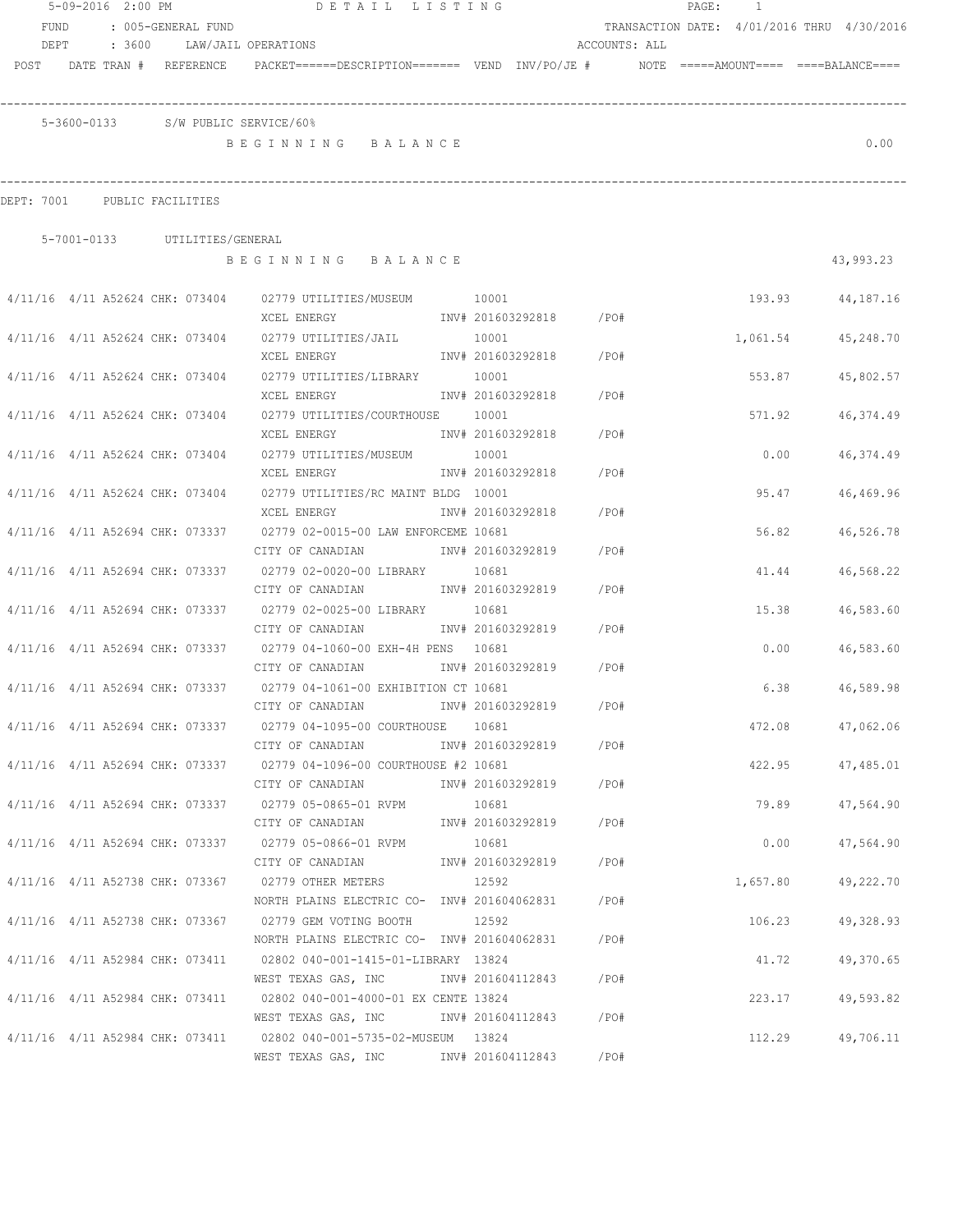|                                 |  |                                 | 5-09-2016 2:00 PM DETAIL LISTING                                                                      |       |                         |               |  | PAGE: 1  |                                            |
|---------------------------------|--|---------------------------------|-------------------------------------------------------------------------------------------------------|-------|-------------------------|---------------|--|----------|--------------------------------------------|
| FUND                            |  | : 005-GENERAL FUND              |                                                                                                       |       |                         |               |  |          | TRANSACTION DATE: 4/01/2016 THRU 4/30/2016 |
| DEPT                            |  |                                 | : 3600 LAW/JAIL OPERATIONS                                                                            |       |                         | ACCOUNTS: ALL |  |          |                                            |
|                                 |  | POST DATE TRAN # REFERENCE      | PACKET======DESCRIPTION======= VEND INV/PO/JE #     NOTE =====AMOUNT====  ====BALANCE====             |       |                         |               |  |          |                                            |
|                                 |  |                                 |                                                                                                       |       |                         |               |  |          |                                            |
|                                 |  |                                 |                                                                                                       |       |                         |               |  |          |                                            |
|                                 |  |                                 | 5-3600-0133 S/W PUBLIC SERVICE/60%                                                                    |       |                         |               |  |          |                                            |
|                                 |  |                                 | BEGINNING BALANCE                                                                                     |       |                         |               |  |          | 0.00                                       |
|                                 |  |                                 |                                                                                                       |       |                         |               |  |          |                                            |
| DEPT: 7001 PUBLIC FACILITIES    |  |                                 |                                                                                                       |       |                         |               |  |          |                                            |
|                                 |  |                                 |                                                                                                       |       |                         |               |  |          |                                            |
|                                 |  | 5-7001-0133 UTILITIES/GENERAL   |                                                                                                       |       |                         |               |  |          |                                            |
|                                 |  |                                 | BEGINNING BALANCE                                                                                     |       |                         |               |  |          | 43,993.23                                  |
|                                 |  |                                 |                                                                                                       |       |                         |               |  |          |                                            |
|                                 |  |                                 | 4/11/16  4/11  A52624  CHK: 073404  02779  UTILITIES/MUSEUM   0001                                    |       |                         |               |  |          | 193.93 44,187.16                           |
|                                 |  |                                 | XCEL ENERGY                                                                                           |       | INV# 201603292818 /PO#  |               |  |          |                                            |
|                                 |  |                                 | $4/11/16$ $4/11$ A52624 CHK: 073404 02779 UTILITIES/JAIL 10001                                        |       |                         |               |  | 1,061.54 | 45,248.70                                  |
|                                 |  |                                 | XCEL ENERGY                                                                                           |       | INV# 201603292818 /PO#  |               |  |          |                                            |
|                                 |  |                                 | 4/11/16 4/11 A52624 CHK: 073404 02779 UTILITIES/LIBRARY 10001                                         |       |                         |               |  | 553.87   | 45,802.57                                  |
|                                 |  |                                 | XCEL ENERGY                                                                                           |       | INV# 201603292818 /PO#  |               |  |          |                                            |
|                                 |  |                                 | 4/11/16 4/11 A52624 CHK: 073404 02779 UTILITIES/COURTHOUSE 10001                                      |       |                         |               |  | 571.92   | 46,374.49                                  |
|                                 |  |                                 | XCEL ENERGY                                                                                           |       | INV# 201603292818       | /PO#          |  |          |                                            |
|                                 |  | 4/11/16 4/11 A52624 CHK: 073404 | 02779 UTILITIES/MUSEUM 10001                                                                          |       |                         |               |  | 0.00     | 46,374.49                                  |
|                                 |  |                                 | XCEL ENERGY                                                                                           |       | INV# 201603292818       | /PO#          |  |          |                                            |
| 4/11/16 4/11 A52624 CHK: 073404 |  |                                 | 02779 UTILITIES/RC MAINT BLDG 10001                                                                   |       |                         |               |  | 95.47    | 46,469.96                                  |
|                                 |  |                                 | XCEL ENERGY                                                                                           |       | INV# 201603292818       | /PO#          |  |          |                                            |
|                                 |  | 4/11/16 4/11 A52694 CHK: 073337 | 02779 02-0015-00 LAW ENFORCEME 10681<br>CITY OF CANADIAN                                              |       | INV# 201603292819       | /PO#          |  |          | 56.82<br>46,526.78                         |
|                                 |  | 4/11/16 4/11 A52694 CHK: 073337 | 02779 02-0020-00 LIBRARY 10681                                                                        |       |                         |               |  |          | 41.44<br>46,568.22                         |
|                                 |  |                                 | CITY OF CANADIAN                                                                                      |       | INV# 201603292819       | /PO#          |  |          |                                            |
|                                 |  | 4/11/16 4/11 A52694 CHK: 073337 | 02779 02-0025-00 LIBRARY 10681                                                                        |       |                         |               |  | 15.38    | 46,583.60                                  |
|                                 |  |                                 | CITY OF CANADIAN                                                                                      |       | INV# 201603292819       | $/$ PO#       |  |          |                                            |
|                                 |  | 4/11/16 4/11 A52694 CHK: 073337 | 02779 04-1060-00 EXH-4H PENS 10681                                                                    |       |                         |               |  | 0.00     | 46,583.60                                  |
|                                 |  |                                 | CITY OF CANADIAN MW# 201603292819                                                                     |       |                         | $/$ PO#       |  |          |                                            |
|                                 |  | 4/11/16 4/11 A52694 CHK: 073337 | 02779 04-1061-00 EXHIBITION CT 10681                                                                  |       |                         |               |  | 6.38     | 46,589.98                                  |
|                                 |  |                                 | CITY OF CANADIAN                                                                                      |       | INV# 201603292819       | /PO#          |  |          |                                            |
|                                 |  |                                 | 4/11/16 4/11 A52694 CHK: 073337 02779 04-1095-00 COURTHOUSE 10681                                     |       |                         |               |  |          | 472.08 47,062.06                           |
|                                 |  |                                 | CITY OF CANADIAN                                                                                      |       | INV# 201603292819 / PO# |               |  |          |                                            |
|                                 |  |                                 | 4/11/16 4/11 A52694 CHK: 073337 02779 04-1096-00 COURTHOUSE #2 10681                                  |       |                         |               |  | 422.95   | 47,485.01                                  |
|                                 |  |                                 | CITY OF CANADIAN                                                                                      |       | INV# 201603292819 / PO# |               |  |          |                                            |
|                                 |  |                                 | 4/11/16 4/11 A52694 CHK: 073337 02779 05-0865-01 RVPM                                                 | 10681 |                         |               |  | 79.89    | 47,564.90                                  |
|                                 |  |                                 | CITY OF CANADIAN                                                                                      |       | INV# 201603292819 /PO#  |               |  |          |                                            |
|                                 |  |                                 | 4/11/16 4/11 A52694 CHK: 073337 02779 05-0866-01 RVPM                                                 | 10681 |                         |               |  | 0.00     | 47,564.90                                  |
|                                 |  |                                 | CITY OF CANADIAN                                                                                      |       | INV# 201603292819 / PO# |               |  |          |                                            |
|                                 |  |                                 | 4/11/16 4/11 A52738 CHK: 073367 02779 OTHER METERS                                                    | 12592 |                         |               |  | 1,657.80 | 49,222.70                                  |
|                                 |  |                                 | NORTH PLAINS ELECTRIC CO- INV# 201604062831                                                           |       |                         | / PO#         |  |          |                                            |
|                                 |  |                                 | 4/11/16 4/11 A52738 CHK: 073367 02779 GEM VOTING BOOTH<br>NORTH PLAINS ELECTRIC CO- INV# 201604062831 | 12592 |                         | / PO#         |  | 106.23   | 49,328.93                                  |
|                                 |  |                                 | 4/11/16 4/11 A52984 CHK: 073411 02802 040-001-1415-01-LIBRARY 13824                                   |       |                         |               |  | 41.72    | 49,370.65                                  |
|                                 |  |                                 | WEST TEXAS GAS, INC MOV# 201604112843                                                                 |       |                         | /PO#          |  |          |                                            |
|                                 |  |                                 | 4/11/16 4/11 A52984 CHK: 073411 02802 040-001-4000-01 EX CENTE 13824                                  |       |                         |               |  | 223.17   | 49,593.82                                  |
|                                 |  |                                 | WEST TEXAS GAS, INC MOV# 201604112843 / PO#                                                           |       |                         |               |  |          |                                            |
|                                 |  |                                 | 4/11/16 4/11 A52984 CHK: 073411 02802 040-001-5735-02-MUSEUM 13824                                    |       |                         |               |  | 112.29   | 49,706.11                                  |
|                                 |  |                                 | WEST TEXAS GAS, INC MW# 201604112843                                                                  |       |                         | /PO#          |  |          |                                            |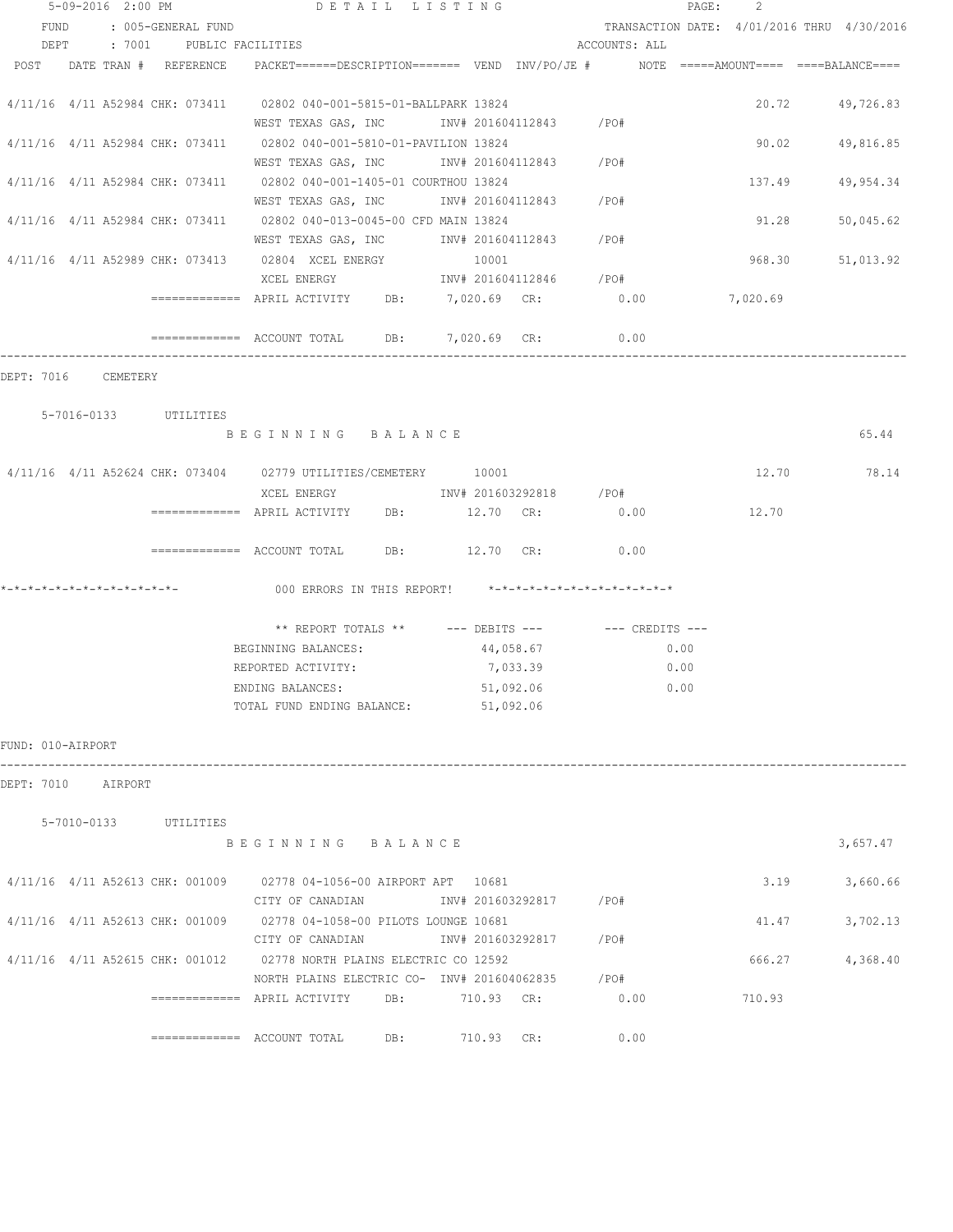|                   | 5-09-2016 2:00 PM          |                          | DETAIL LISTING                                                                                                                |     |            |                        |               | PAGE: | -2     |                                            |
|-------------------|----------------------------|--------------------------|-------------------------------------------------------------------------------------------------------------------------------|-----|------------|------------------------|---------------|-------|--------|--------------------------------------------|
|                   |                            | FUND : 005-GENERAL FUND  |                                                                                                                               |     |            |                        |               |       |        | TRANSACTION DATE: 4/01/2016 THRU 4/30/2016 |
|                   | DEPT                       | : 7001 PUBLIC FACILITIES |                                                                                                                               |     |            |                        | ACCOUNTS: ALL |       |        |                                            |
|                   | POST DATE TRAN # REFERENCE |                          | PACKET======DESCRIPTION======= VEND INV/PO/JE #     NOTE =====AMOUNT==== ====BALANCE====                                      |     |            |                        |               |       |        |                                            |
|                   |                            |                          | 4/11/16 4/11 A52984 CHK: 073411 02802 040-001-5815-01-BALLPARK 13824<br>WEST TEXAS GAS, INC        INV# 201604112843     /PO# |     |            |                        |               |       |        | 20.72 49,726.83                            |
|                   |                            |                          | 4/11/16 4/11 A52984 CHK: 073411 02802 040-001-5810-01-PAVILION 13824<br>WEST TEXAS GAS, INC MONTH 201604112843 / PO#          |     |            |                        |               |       |        | 90.02 49,816.85                            |
|                   |                            |                          | 4/11/16 4/11 A52984 CHK: 073411 02802 040-001-1405-01 COURTHOU 13824<br>WEST TEXAS GAS, INC MOV# 201604112843 / PO#           |     |            |                        |               |       | 137.49 | 49,954.34                                  |
|                   |                            |                          | 4/11/16 4/11 A52984 CHK: 073411 02802 040-013-0045-00 CFD MAIN 13824                                                          |     |            |                        |               |       | 91.28  | 50,045.62                                  |
|                   |                            |                          | WEST TEXAS GAS, INC MONTH 201604112843 / PO#<br>4/11/16 4/11 A52989 CHK: 073413 02804 XCEL ENERGY                             |     | 10001      |                        |               |       | 968.30 | 51,013.92                                  |
|                   |                            |                          | XCEL ENERGY 600 1NV# 201604112846 / PO#<br>============ APRIL ACTIVITY DB: 7,020.69 CR: 0.00 7,020.69                         |     |            |                        |               |       |        |                                            |
|                   |                            |                          | ============ ACCOUNT TOTAL DB: 7,020.69 CR: 0.00                                                                              |     |            |                        |               |       |        |                                            |
|                   | DEPT: 7016 CEMETERY        |                          |                                                                                                                               |     |            |                        |               |       |        |                                            |
|                   | 5-7016-0133 UTILITIES      |                          | BEGINNING BALANCE                                                                                                             |     |            |                        |               |       |        | 65.44                                      |
|                   |                            |                          |                                                                                                                               |     |            |                        |               |       |        |                                            |
|                   |                            |                          | 4/11/16 4/11 A52624 CHK: 073404 02779 UTILITIES/CEMETERY 10001<br>XCEL ENERGY 1NV# 201603292818 / PO#                         |     |            |                        |               |       |        | 12.70 78.14                                |
|                   |                            |                          | ------------- APRIL ACTIVITY DB: 12.70 CR: 0.00                                                                               |     |            |                        |               |       | 12.70  |                                            |
|                   |                            |                          | ============ ACCOUNT TOTAL DB: 12.70 CR: 0.00                                                                                 |     |            |                        |               |       |        |                                            |
|                   |                            |                          | 000 ERRORS IN THIS REPORT! *-*-*-*-*-*-*-*-*-*-*-*-*-*-                                                                       |     |            |                        |               |       |        |                                            |
|                   |                            |                          | ** REPORT TOTALS ** --- DEBITS --- -- -- CREDITS ---                                                                          |     |            |                        |               |       |        |                                            |
|                   |                            |                          | BEGINNING BALANCES:                                                                                                           |     |            | 44,058.67              |               | 0.00  |        |                                            |
|                   |                            |                          | REPORTED ACTIVITY:                                                                                                            |     |            | 7,033.39               |               | 0.00  |        |                                            |
|                   |                            |                          | ENDING BALANCES:                                                                                                              |     |            | 51,092.06              |               | 0.00  |        |                                            |
|                   |                            |                          | TOTAL FUND ENDING BALANCE: 51,092.06                                                                                          |     |            |                        |               |       |        |                                            |
| FUND: 010-AIRPORT |                            |                          |                                                                                                                               |     |            |                        |               |       |        |                                            |
|                   | DEPT: 7010 AIRPORT         |                          |                                                                                                                               |     |            |                        |               |       |        |                                            |
|                   | 5-7010-0133 UTILITIES      |                          | BEGINNING BALANCE                                                                                                             |     |            |                        |               |       |        | 3,657.47                                   |
|                   |                            |                          |                                                                                                                               |     |            |                        |               |       |        |                                            |
|                   |                            |                          | 4/11/16 4/11 A52613 CHK: 001009 02778 04-1056-00 AIRPORT APT 10681<br>CITY OF CANADIAN                                        |     |            | INV# 201603292817 /PO# |               |       | 3.19   | 3,660.66                                   |
|                   |                            |                          | 4/11/16 4/11 A52613 CHK: 001009 02778 04-1058-00 PILOTS LOUNGE 10681<br>CITY OF CANADIAN 1NV# 201603292817 / PO#              |     |            |                        |               |       | 41.47  | 3,702.13                                   |
|                   |                            |                          | 4/11/16 4/11 A52615 CHK: 001012 02778 NORTH PLAINS ELECTRIC CO 12592<br>NORTH PLAINS ELECTRIC CO- INV# 201604062835 / PO#     |     |            |                        |               |       | 666.27 | 4,368.40                                   |
|                   |                            |                          | ============ APRIL ACTIVITY DB: 710.93 CR: 0.00                                                                               |     |            |                        |               |       | 710.93 |                                            |
|                   |                            |                          | ============= ACCOUNT TOTAL                                                                                                   | DB: | 710.93 CR: |                        | 0.00          |       |        |                                            |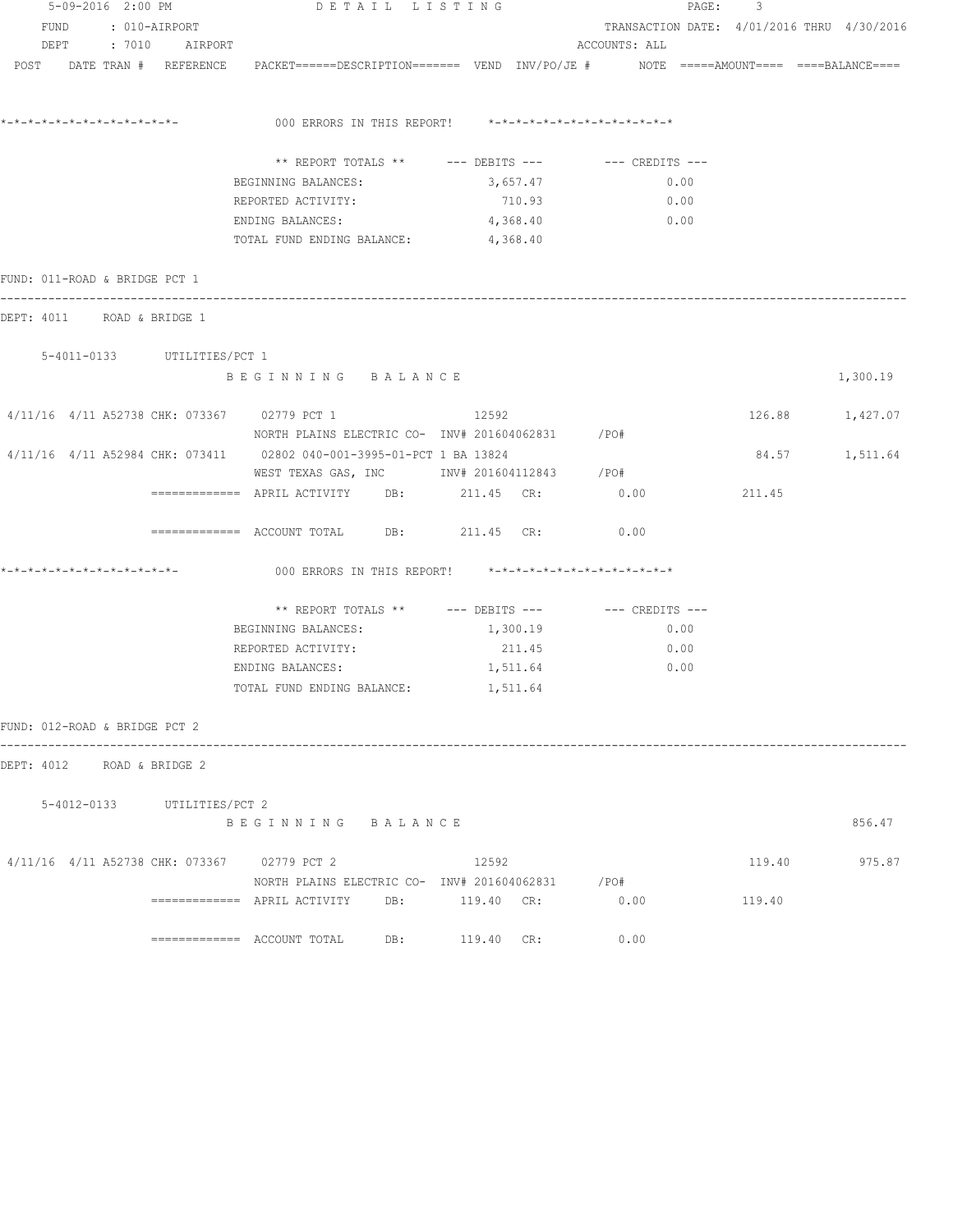|                                | 5-09-2016 2:00 PM |                             | DETAIL LISTING                                                                                                  |          | PAGE:                                      | 3      |                 |
|--------------------------------|-------------------|-----------------------------|-----------------------------------------------------------------------------------------------------------------|----------|--------------------------------------------|--------|-----------------|
|                                |                   | FUND : 010-AIRPORT          |                                                                                                                 |          | TRANSACTION DATE: 4/01/2016 THRU 4/30/2016 |        |                 |
|                                |                   | DEPT : 7010 AIRPORT         |                                                                                                                 |          | ACCOUNTS: ALL                              |        |                 |
|                                |                   |                             | POST DATE TRAN # REFERENCE PACKET======DESCRIPTION======= VEND INV/PO/JE # NOTE =====AMOUNT==== ====BALANCE==== |          |                                            |        |                 |
| *_*_*_*_*_*_*_*_*_*_*_*_*_*_*_ |                   |                             | 000 ERRORS IN THIS REPORT! *-*-*-*-*-*-*-*-*-*-*-*-*-*-                                                         |          |                                            |        |                 |
|                                |                   |                             | ** REPORT TOTALS ** --- DEBITS --- -- CREDITS ---                                                               |          |                                            |        |                 |
|                                |                   |                             | BEGINNING BALANCES:                                                                                             | 3,657.47 | 0.00                                       |        |                 |
|                                |                   |                             | REPORTED ACTIVITY:                                                                                              | 710.93   | 0.00                                       |        |                 |
|                                |                   |                             | ENDING BALANCES:                                                                                                | 4,368.40 | 0.00                                       |        |                 |
|                                |                   |                             | TOTAL FUND ENDING BALANCE: 4,368.40                                                                             |          |                                            |        |                 |
| FUND: 011-ROAD & BRIDGE PCT 1  |                   |                             |                                                                                                                 |          |                                            |        |                 |
| DEPT: 4011 ROAD & BRIDGE 1     |                   |                             |                                                                                                                 |          |                                            |        |                 |
|                                |                   | 5-4011-0133 UTILITIES/PCT 1 |                                                                                                                 |          |                                            |        |                 |
|                                |                   |                             | BEGINNING BALANCE                                                                                               |          |                                            |        | 1,300.19        |
|                                |                   |                             | 4/11/16 4/11 A52738 CHK: 073367 02779 PCT 1                                                                     | 12592    |                                            |        | 126.88 1,427.07 |
|                                |                   |                             | NORTH PLAINS ELECTRIC CO- INV# 201604062831 / PO#                                                               |          |                                            |        |                 |
|                                |                   |                             | 4/11/16 4/11 A52984 CHK: 073411 02802 040-001-3995-01-PCT 1 BA 13824                                            |          |                                            |        | 84.57 1,511.64  |
|                                |                   |                             | WEST TEXAS GAS, INC 1NV# 201604112843 / PO#                                                                     |          |                                            |        |                 |
|                                |                   |                             | ============ APRIL ACTIVITY DB: 211.45 CR: 0.00                                                                 |          |                                            | 211.45 |                 |
|                                |                   |                             | ============ ACCOUNT TOTAL DB: 211.45 CR:                                                                       |          | 0.00                                       |        |                 |
| *_*_*_*_*_*_*_*_*_*_*_*_*_*_*_ |                   |                             | 000 ERRORS IN THIS REPORT! *-*-*-*-*-*-*-*-*-*-*-*-*-*-                                                         |          |                                            |        |                 |
|                                |                   |                             | ** REPORT TOTALS ** $---$ DEBITS --- $---$ CREDITS ---                                                          |          |                                            |        |                 |
|                                |                   |                             | BEGINNING BALANCES:                                                                                             | 1,300.19 | 0.00                                       |        |                 |
|                                |                   |                             | REPORTED ACTIVITY:                                                                                              | 211.45   | 0.00                                       |        |                 |
|                                |                   |                             | ENDING BALANCES:                                                                                                | 1,511.64 | 0.00                                       |        |                 |
|                                |                   |                             | TOTAL FUND ENDING BALANCE: 1,511.64                                                                             |          |                                            |        |                 |
| FUND: 012-ROAD & BRIDGE PCT 2  |                   |                             |                                                                                                                 |          |                                            |        |                 |
| DEPT: 4012 ROAD & BRIDGE 2     |                   |                             |                                                                                                                 |          |                                            |        |                 |
|                                |                   | 5-4012-0133 UTILITIES/PCT 2 |                                                                                                                 |          |                                            |        |                 |
|                                |                   |                             | BEGINNING BALANCE                                                                                               |          |                                            |        | 856.47          |
|                                |                   |                             | 4/11/16 4/11 A52738 CHK: 073367 02779 PCT 2                                                                     | 12592    |                                            | 119.40 | 975.87          |
|                                |                   |                             | NORTH PLAINS ELECTRIC CO- INV# 201604062831 / PO#                                                               |          |                                            |        |                 |
|                                |                   |                             | ------------- APRIL ACTIVITY DB: 119.40 CR: 0.00                                                                |          |                                            | 119.40 |                 |
|                                |                   |                             | ============= ACCOUNT TOTAL DB: 119.40 CR:                                                                      |          | 0.00                                       |        |                 |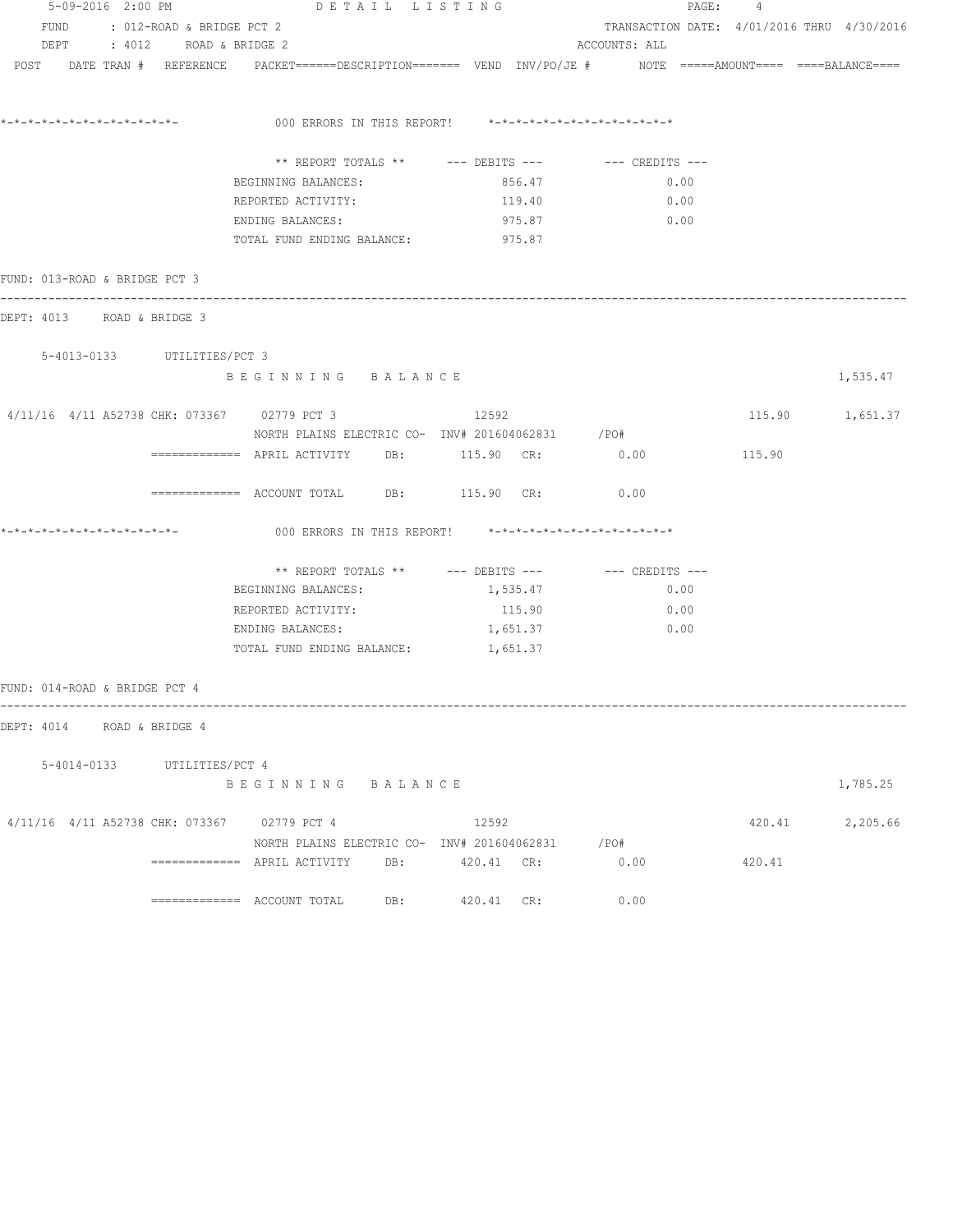|                               | 5-09-2016 2:00 PM |                                | DETAIL LISTING                              |  |                                                                                                                                                       | PAGE: 4       |  |        |                                            |
|-------------------------------|-------------------|--------------------------------|---------------------------------------------|--|-------------------------------------------------------------------------------------------------------------------------------------------------------|---------------|--|--------|--------------------------------------------|
|                               |                   | FUND : 012-ROAD & BRIDGE PCT 2 |                                             |  |                                                                                                                                                       |               |  |        | TRANSACTION DATE: 4/01/2016 THRU 4/30/2016 |
|                               |                   | DEPT : 4012 ROAD & BRIDGE 2    |                                             |  |                                                                                                                                                       | ACCOUNTS: ALL |  |        |                                            |
|                               |                   |                                |                                             |  | $POST$ $DATA$ $\#$ $REFERENCE$ $PACKET$ $=$ $=$ $=$ $DESCRIPTION$ $=$ $=$ $=$ $VEND$ $INV/PO/JE$ $\#$ $NOTE$ $=$ $=$ $=$ $=$ $=$ $=$ $BLANCE$ $=$ $=$ |               |  |        |                                            |
|                               |                   |                                |                                             |  | 000 ERRORS IN THIS REPORT! *-*-*-*-*-*-*-*-*-*-*-*-*-*-                                                                                               |               |  |        |                                            |
|                               |                   |                                |                                             |  |                                                                                                                                                       |               |  |        |                                            |
|                               |                   |                                |                                             |  | ** REPORT TOTALS ** --- DEBITS --- -- CREDITS ---                                                                                                     |               |  |        |                                            |
|                               |                   |                                | BEGINNING BALANCES:                         |  | 856.47                                                                                                                                                | 0.00          |  |        |                                            |
|                               |                   |                                | REPORTED ACTIVITY:<br>ENDING BALANCES:      |  | 119.40                                                                                                                                                | 0.00          |  |        |                                            |
|                               |                   |                                | TOTAL FUND ENDING BALANCE: 975.87           |  | 975.87                                                                                                                                                | 0.00          |  |        |                                            |
| FUND: 013-ROAD & BRIDGE PCT 3 |                   |                                |                                             |  |                                                                                                                                                       |               |  |        |                                            |
| DEPT: 4013 ROAD & BRIDGE 3    |                   |                                | -----------------------------------         |  |                                                                                                                                                       |               |  |        |                                            |
|                               |                   | 5-4013-0133 UTILITIES/PCT 3    |                                             |  |                                                                                                                                                       |               |  |        |                                            |
|                               |                   |                                | BEGINNING BALANCE                           |  |                                                                                                                                                       |               |  |        | 1,535.47                                   |
|                               |                   |                                | 4/11/16 4/11 A52738 CHK: 073367 02779 PCT 3 |  | 12592                                                                                                                                                 |               |  |        | 115.90 1,651.37                            |
|                               |                   |                                |                                             |  | NORTH PLAINS ELECTRIC CO- INV# 201604062831 / PO#                                                                                                     |               |  |        |                                            |
|                               |                   |                                |                                             |  | ============ APRIL ACTIVITY DB: 115.90 CR: 0.00                                                                                                       |               |  | 115.90 |                                            |
|                               |                   |                                |                                             |  | ============ ACCOUNT TOTAL DB: 115.90 CR: 0.00                                                                                                        |               |  |        |                                            |
| *_*_*_*_*_*_*_*_*_*_*_*_*_*_  |                   |                                |                                             |  | 000 ERRORS IN THIS REPORT! *-*-*-*-*-*-*-*-*-*-*-*-*-*-                                                                                               |               |  |        |                                            |
|                               |                   |                                |                                             |  | ** REPORT TOTALS ** --- DEBITS --- -- -- CREDITS ---                                                                                                  |               |  |        |                                            |
|                               |                   |                                | BEGINNING BALANCES:                         |  | 1,535.47                                                                                                                                              | 0.00          |  |        |                                            |
|                               |                   |                                | REPORTED ACTIVITY:                          |  | 115.90                                                                                                                                                | 0.00          |  |        |                                            |
|                               |                   |                                | ENDING BALANCES:                            |  | 1,651.37                                                                                                                                              | 0.00          |  |        |                                            |
|                               |                   |                                | TOTAL FUND ENDING BALANCE: 1, 651.37        |  |                                                                                                                                                       |               |  |        |                                            |
| FUND: 014-ROAD & BRIDGE PCT 4 |                   |                                |                                             |  |                                                                                                                                                       |               |  |        |                                            |
| DEPT: 4014 ROAD & BRIDGE 4    |                   |                                |                                             |  |                                                                                                                                                       |               |  |        |                                            |
|                               |                   | 5-4014-0133 UTILITIES/PCT 4    |                                             |  |                                                                                                                                                       |               |  |        |                                            |
|                               |                   |                                | BEGINNING BALANCE                           |  |                                                                                                                                                       |               |  |        | 1,785.25                                   |
|                               |                   |                                | 4/11/16 4/11 A52738 CHK: 073367 02779 PCT 4 |  | 12592                                                                                                                                                 |               |  |        | 420.41 2,205.66                            |
|                               |                   |                                |                                             |  | NORTH PLAINS ELECTRIC CO- INV# 201604062831 / PO#                                                                                                     |               |  |        |                                            |
|                               |                   |                                |                                             |  |                                                                                                                                                       | 0.00          |  | 420.41 |                                            |
|                               |                   |                                |                                             |  | 420.41 CR:                                                                                                                                            | 0.00          |  |        |                                            |